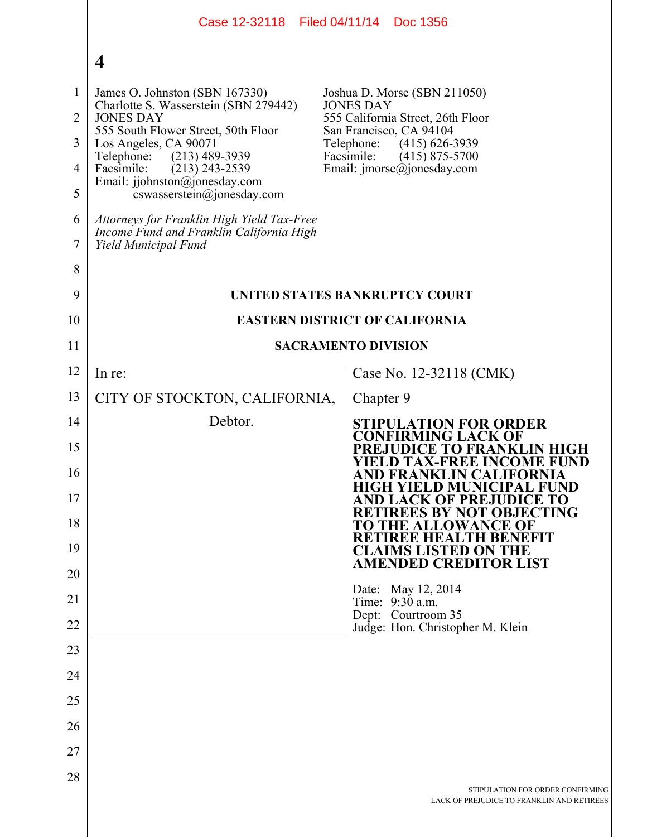| Case 12-32118 Filed 04/11/14 Doc 1356                                                                          |                                                                                                                                                 |
|----------------------------------------------------------------------------------------------------------------|-------------------------------------------------------------------------------------------------------------------------------------------------|
| $\overline{\mathbf{4}}$                                                                                        |                                                                                                                                                 |
| James O. Johnston (SBN 167330)                                                                                 | Joshua D. Morse (SBN 211050)                                                                                                                    |
| <b>JONES DAY</b>                                                                                               | <b>JONES DAY</b><br>555 California Street, 26th Floor                                                                                           |
| Los Angeles, CA 90071                                                                                          | San Francisco, CA 94104<br>Telephone:<br>$(415)$ 626-3939                                                                                       |
| Facsimile:<br>$(213)$ 243-2539                                                                                 | Facsimile:<br>$(415)$ 875-5700<br>Email: $\text{imorse}(\hat{a})$ jonesday.com                                                                  |
| $coswasserstein(\theta)$ ionesday.com                                                                          |                                                                                                                                                 |
| Attorneys for Franklin High Yield Tax-Free<br>Income Fund and Franklin California High<br>Yield Municipal Fund |                                                                                                                                                 |
|                                                                                                                |                                                                                                                                                 |
| UNITED STATES BANKRUPTCY COURT                                                                                 |                                                                                                                                                 |
| <b>EASTERN DISTRICT OF CALIFORNIA</b><br>10                                                                    |                                                                                                                                                 |
| <b>SACRAMENTO DIVISION</b><br>11                                                                               |                                                                                                                                                 |
| In re:                                                                                                         | Case No. 12-32118 (CMK)                                                                                                                         |
| CITY OF STOCKTON, CALIFORNIA,                                                                                  | Chapter 9                                                                                                                                       |
| Debtor.                                                                                                        | <b>STIPULATION FOR ORDER</b><br>CONFIRMING LACK OF                                                                                              |
|                                                                                                                | EJUDICE TO FRANKLIN HIGH<br><b>YIELD TAX-FREE INCOME FUND</b>                                                                                   |
|                                                                                                                | AND FRANKLIN CALIFORNIA<br><b>HIGH YIELD MUNICIPAL FUND</b>                                                                                     |
|                                                                                                                | <b>D LACK OF PREJUDICE TO</b><br><b>RETIREES BY NOT OBJECTING</b>                                                                               |
|                                                                                                                | TO THE ALLOWANCE OF<br><b>TH BENEFIT</b><br>RETREE HEAI                                                                                         |
|                                                                                                                | <b>CLAIMS LISTED ON THE</b><br><b>AMENDED CREDITOR LIST</b>                                                                                     |
|                                                                                                                | Date: May 12, 2014                                                                                                                              |
|                                                                                                                | Time: 9:30 a.m.<br>Dept: Courtroom 35                                                                                                           |
|                                                                                                                | Judge: Hon. Christopher M. Klein                                                                                                                |
|                                                                                                                |                                                                                                                                                 |
|                                                                                                                |                                                                                                                                                 |
|                                                                                                                |                                                                                                                                                 |
|                                                                                                                |                                                                                                                                                 |
|                                                                                                                |                                                                                                                                                 |
|                                                                                                                | STIPULATION FOR ORDER CONFIRMING<br>LACK OF PREJUDICE TO FRANKLIN AND RETIREES                                                                  |
|                                                                                                                | Charlotte S. Wasserstein (SBN 279442)<br>555 South Flower Street, 50th Floor<br>Telephone:<br>$(213)$ 489-3939<br>Email: jjohnston@jonesday.com |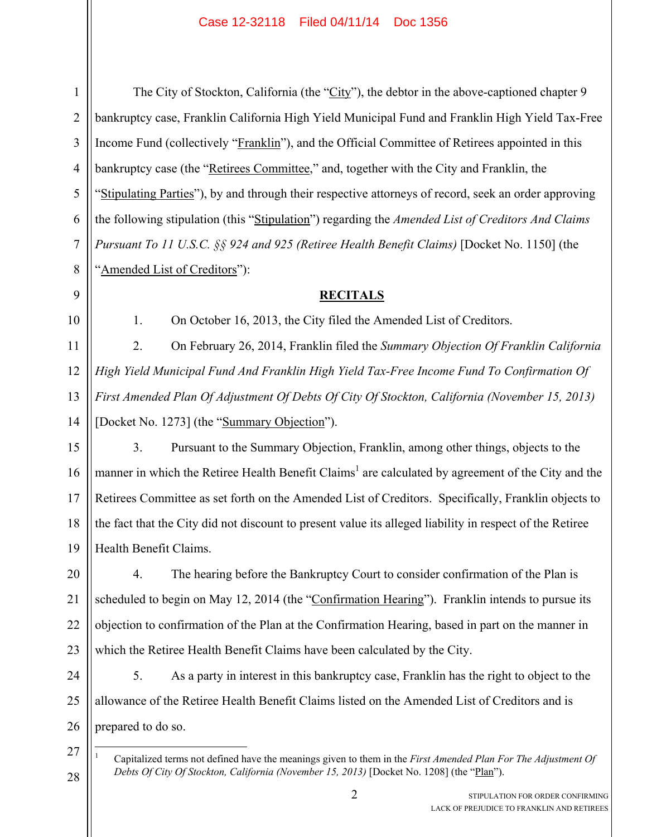## Case 12-32118 Filed 04/11/14 Doc 1356

27

28

1

2

The City of Stockton, California (the "City"), the debtor in the above-captioned chapter 9 bankruptcy case, Franklin California High Yield Municipal Fund and Franklin High Yield Tax-Free Income Fund (collectively "Franklin"), and the Official Committee of Retirees appointed in this bankruptcy case (the "Retirees Committee," and, together with the City and Franklin, the "Stipulating Parties"), by and through their respective attorneys of record, seek an order approving the following stipulation (this "Stipulation") regarding the *Amended List of Creditors And Claims Pursuant To 11 U.S.C. §§ 924 and 925 (Retiree Health Benefit Claims)* [Docket No. 1150] (the "Amended List of Creditors"): **RECITALS** 1. On October 16, 2013, the City filed the Amended List of Creditors. 2. On February 26, 2014, Franklin filed the *Summary Objection Of Franklin California High Yield Municipal Fund And Franklin High Yield Tax-Free Income Fund To Confirmation Of First Amended Plan Of Adjustment Of Debts Of City Of Stockton, California (November 15, 2013)* [Docket No. 1273] (the "Summary Objection"). 3. Pursuant to the Summary Objection, Franklin, among other things, objects to the manner in which the Retiree Health Benefit Claims<sup>1</sup> are calculated by agreement of the City and the Retirees Committee as set forth on the Amended List of Creditors. Specifically, Franklin objects to the fact that the City did not discount to present value its alleged liability in respect of the Retiree Health Benefit Claims. 4. The hearing before the Bankruptcy Court to consider confirmation of the Plan is scheduled to begin on May 12, 2014 (the "Confirmation Hearing"). Franklin intends to pursue its objection to confirmation of the Plan at the Confirmation Hearing, based in part on the manner in which the Retiree Health Benefit Claims have been calculated by the City. 5. As a party in interest in this bankruptcy case, Franklin has the right to object to the

prepared to do so.

allowance of the Retiree Health Benefit Claims listed on the Amended List of Creditors and is

2 STIPULATION FOR ORDER CONFIRMING LACK OF PREJUDICE TO FRANKLIN AND RETIREES

 $\overline{a}$ 1 Capitalized terms not defined have the meanings given to them in the *First Amended Plan For The Adjustment Of Debts Of City Of Stockton, California (November 15, 2013)* [Docket No. 1208] (the "Plan").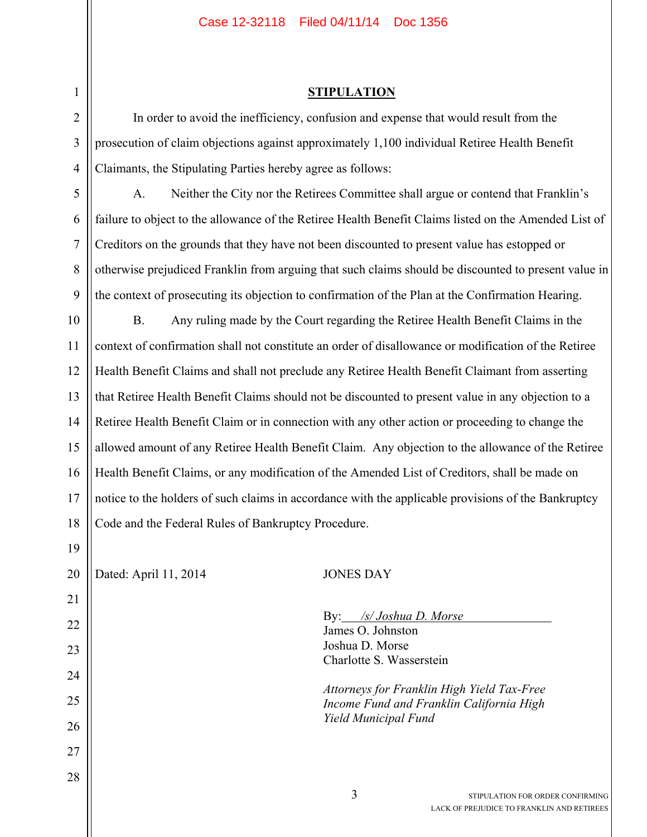## **STIPULATION**

In order to avoid the inefficiency, confusion and expense that would result from the prosecution of claim objections against approximately 1,100 individual Retiree Health Benefit Claimants, the Stipulating Parties hereby agree as follows:

A. Neither the City nor the Retirees Committee shall argue or contend that Franklin's failure to object to the allowance of the Retiree Health Benefit Claims listed on the Amended List of Creditors on the grounds that they have not been discounted to present value has estopped or otherwise prejudiced Franklin from arguing that such claims should be discounted to present value in the context of prosecuting its objection to confirmation of the Plan at the Confirmation Hearing.

B. Any ruling made by the Court regarding the Retiree Health Benefit Claims in the context of confirmation shall not constitute an order of disallowance or modification of the Retiree Health Benefit Claims and shall not preclude any Retiree Health Benefit Claimant from asserting that Retiree Health Benefit Claims should not be discounted to present value in any objection to a Retiree Health Benefit Claim or in connection with any other action or proceeding to change the allowed amount of any Retiree Health Benefit Claim. Any objection to the allowance of the Retiree Health Benefit Claims, or any modification of the Amended List of Creditors, shall be made on notice to the holders of such claims in accordance with the applicable provisions of the Bankruptcy Code and the Federal Rules of Bankruptcy Procedure.

28

## Dated: April 11, 2014 JONES DAY

 By: */s/ Joshua D. Morse*  James O. Johnston Joshua D. Morse Charlotte S. Wasserstein

*Attorneys for Franklin High Yield Tax-Free Income Fund and Franklin California High Yield Municipal Fund*